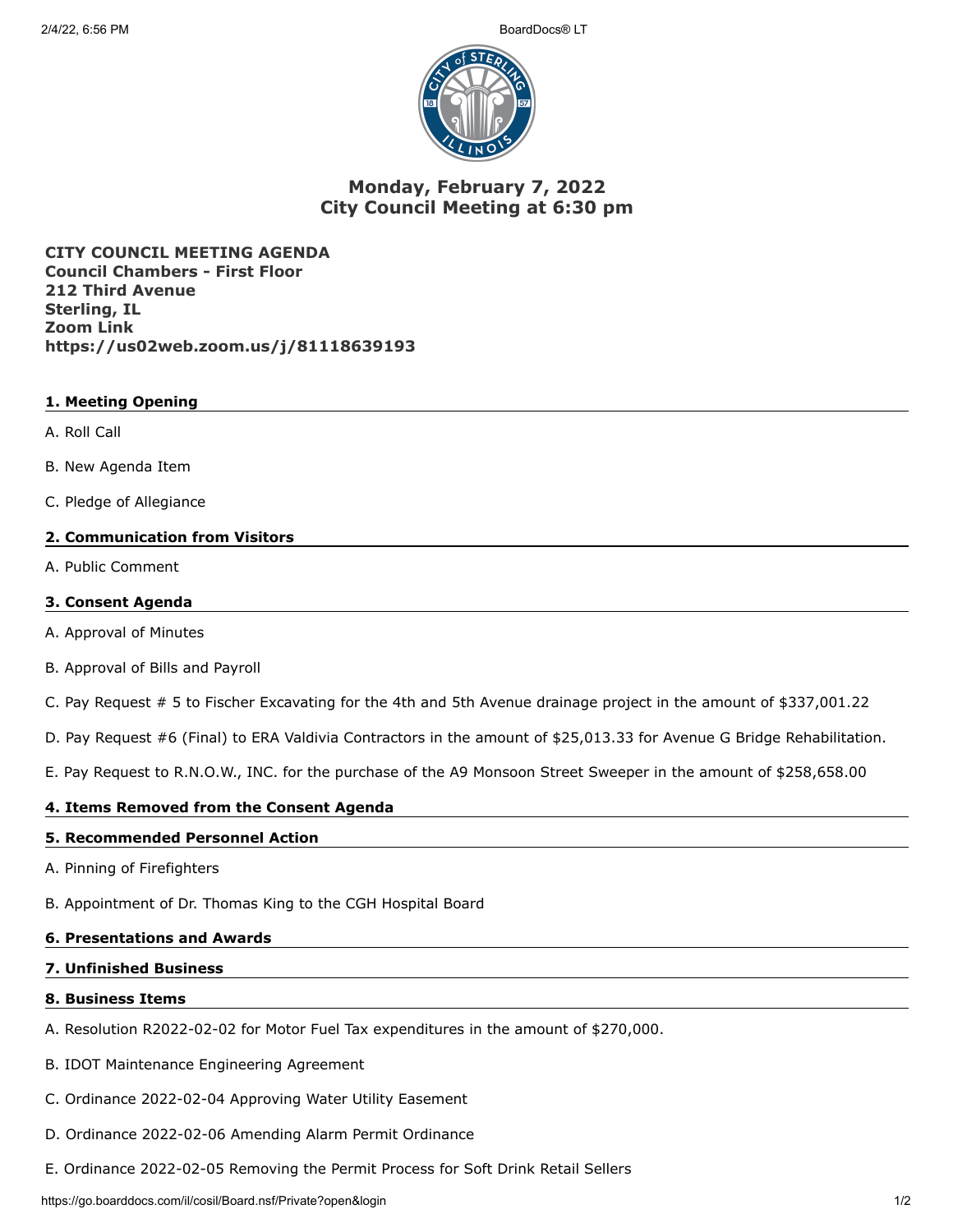

# **Monday, February 7, 2022 City Council Meeting at 6:30 pm**

**CITY COUNCIL MEETING AGENDA Council Chambers - First Floor 212 Third Avenue Sterling, IL Zoom Link https://us02web.zoom.us/j/81118639193**

## **1. Meeting Opening**

- A. Roll Call
- B. New Agenda Item
- C. Pledge of Allegiance

### **2. Communication from Visitors**

A. Public Comment

## **3. Consent Agenda**

- A. Approval of Minutes
- B. Approval of Bills and Payroll
- C. Pay Request # 5 to Fischer Excavating for the 4th and 5th Avenue drainage project in the amount of \$337,001.22
- D. Pay Request #6 (Final) to ERA Valdivia Contractors in the amount of \$25,013.33 for Avenue G Bridge Rehabilitation.

E. Pay Request to R.N.O.W., INC. for the purchase of the A9 Monsoon Street Sweeper in the amount of \$258,658.00

## **4. Items Removed from the Consent Agenda**

## **5. Recommended Personnel Action**

A. Pinning of Firefighters

B. Appointment of Dr. Thomas King to the CGH Hospital Board

## **6. Presentations and Awards**

## **7. Unfinished Business**

## **8. Business Items**

- A. Resolution R2022-02-02 for Motor Fuel Tax expenditures in the amount of \$270,000.
- B. IDOT Maintenance Engineering Agreement
- C. Ordinance 2022-02-04 Approving Water Utility Easement
- D. Ordinance 2022-02-06 Amending Alarm Permit Ordinance
- E. Ordinance 2022-02-05 Removing the Permit Process for Soft Drink Retail Sellers